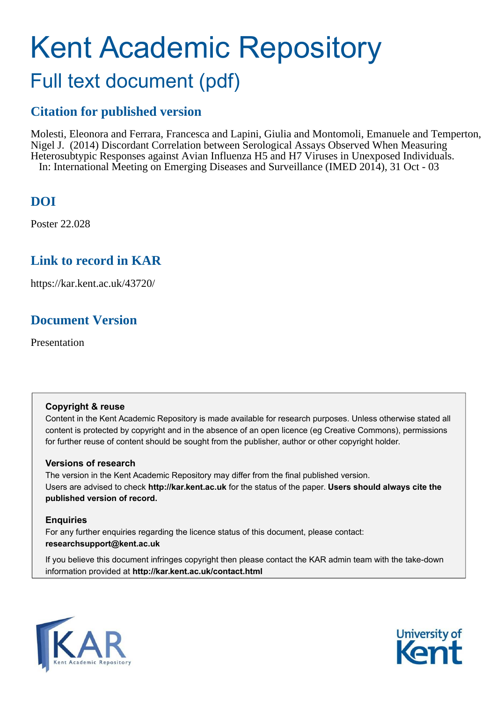## Kent Academic Repository Full text document (pdf)

## **Citation for published version**

Molesti, Eleonora and Ferrara, Francesca and Lapini, Giulia and Montomoli, Emanuele and Temperton, Nigel J. (2014) Discordant Correlation between Serological Assays Observed When Measuring Heterosubtypic Responses against Avian Influenza H5 and H7 Viruses in Unexposed Individuals. In: International Meeting on Emerging Diseases and Surveillance (IMED 2014), 31 Oct - 03

## **DOI**

Poster 22.028

### **Link to record in KAR**

https://kar.kent.ac.uk/43720/

## **Document Version**

Presentation

#### **Copyright & reuse**

Content in the Kent Academic Repository is made available for research purposes. Unless otherwise stated all content is protected by copyright and in the absence of an open licence (eg Creative Commons), permissions for further reuse of content should be sought from the publisher, author or other copyright holder.

#### **Versions of research**

The version in the Kent Academic Repository may differ from the final published version. Users are advised to check **http://kar.kent.ac.uk** for the status of the paper. **Users should always cite the published version of record.**

#### **Enquiries**

For any further enquiries regarding the licence status of this document, please contact: **researchsupport@kent.ac.uk**

If you believe this document infringes copyright then please contact the KAR admin team with the take-down information provided at **http://kar.kent.ac.uk/contact.html**